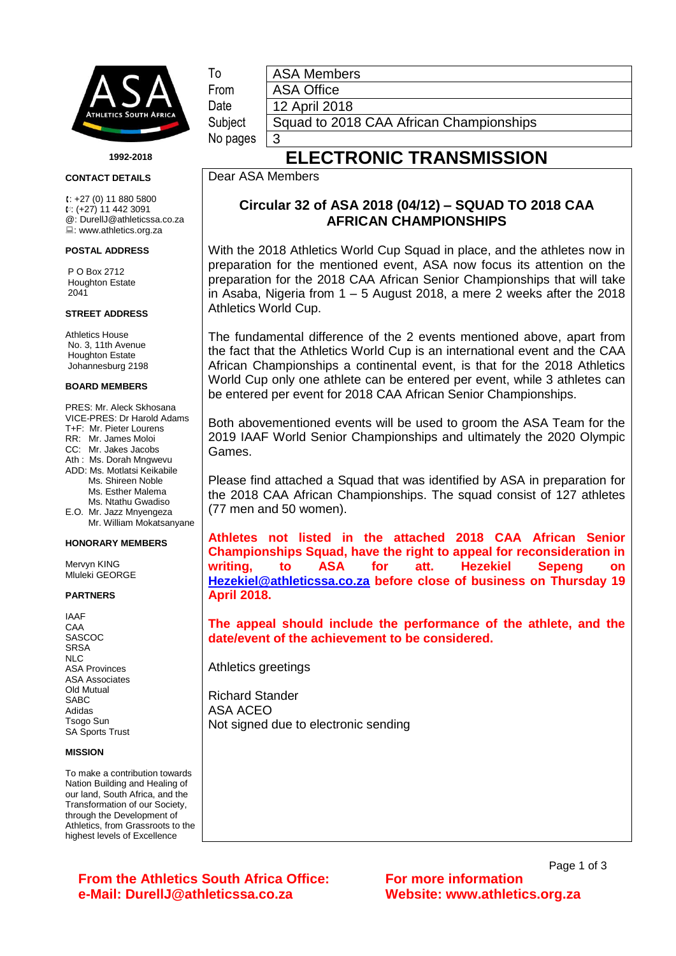

**1992-2018**

#### **CONTACT DETAILS**

 $t: +27(0)$  11 880 5800 : (+27) 11 442 3091 @: DurellJ@athleticssa.co.za : www.athletics.org.za

### **POSTAL ADDRESS**

P O Box 2712 Houghton Estate 2041

### **STREET ADDRESS**

Athletics House No. 3, 11th Avenue Houghton Estate Johannesburg 2198

### **BOARD MEMBERS**

PRES: Mr. Aleck Skhosana VICE-PRES: Dr Harold Adams T+F: Mr. Pieter Lourens RR: Mr. James Moloi CC: Mr. Jakes Jacobs Ath : Ms. Dorah Mngwevu ADD: Ms. Motlatsi Keikabile Ms. Shireen Noble Ms. Esther Malema Ms. Ntathu Gwadiso E.O. Mr. Jazz Mnyengeza Mr. William Mokatsanyane

### **HONORARY MEMBERS**

Mervyn KING Mluleki GEORGE

### **PARTNERS**

IAAF CAA SASCOC **SRSA** NLC ASA Provinces ASA Associates Old Mutual SABC Adidas Tsogo Sun SA Sports Trust

### **MISSION**

To make a contribution towards Nation Building and Healing of our land, South Africa, and the Transformation of our Society, through the Development of Athletics, from Grassroots to the highest levels of Excellence

To **ASA Members** From ASA Office

Date | 12 April 2018

No pages  $\vert 3 \vert$ 

# Subject | Squad to 2018 CAA African Championships

# **ELECTRONIC TRANSMISSION**

### Dear ASA Members

## **Circular 32 of ASA 2018 (04/12) – SQUAD TO 2018 CAA AFRICAN CHAMPIONSHIPS**

With the 2018 Athletics World Cup Squad in place, and the athletes now in preparation for the mentioned event, ASA now focus its attention on the preparation for the 2018 CAA African Senior Championships that will take in Asaba, Nigeria from 1 – 5 August 2018, a mere 2 weeks after the 2018 Athletics World Cup.

The fundamental difference of the 2 events mentioned above, apart from the fact that the Athletics World Cup is an international event and the CAA African Championships a continental event, is that for the 2018 Athletics World Cup only one athlete can be entered per event, while 3 athletes can be entered per event for 2018 CAA African Senior Championships.

Both abovementioned events will be used to groom the ASA Team for the 2019 IAAF World Senior Championships and ultimately the 2020 Olympic Games.

Please find attached a Squad that was identified by ASA in preparation for the 2018 CAA African Championships. The squad consist of 127 athletes (77 men and 50 women).

**Athletes not listed in the attached 2018 CAA African Senior Championships Squad, have the right to appeal for reconsideration in writing, to ASA for att. Hezekiel Sepeng on [Hezekiel@athleticssa.co.za](mailto:Hezekiel@athleticssa.co.za) before close of business on Thursday 19 April 2018.** 

**The appeal should include the performance of the athlete, and the date/event of the achievement to be considered.**

Athletics greetings

Richard Stander ASA ACEO Not signed due to electronic sending

**From the Athletics South Africa Office: For more information e-Mail: DurellJ@athleticssa.co.za Website: www.athletics.org.za**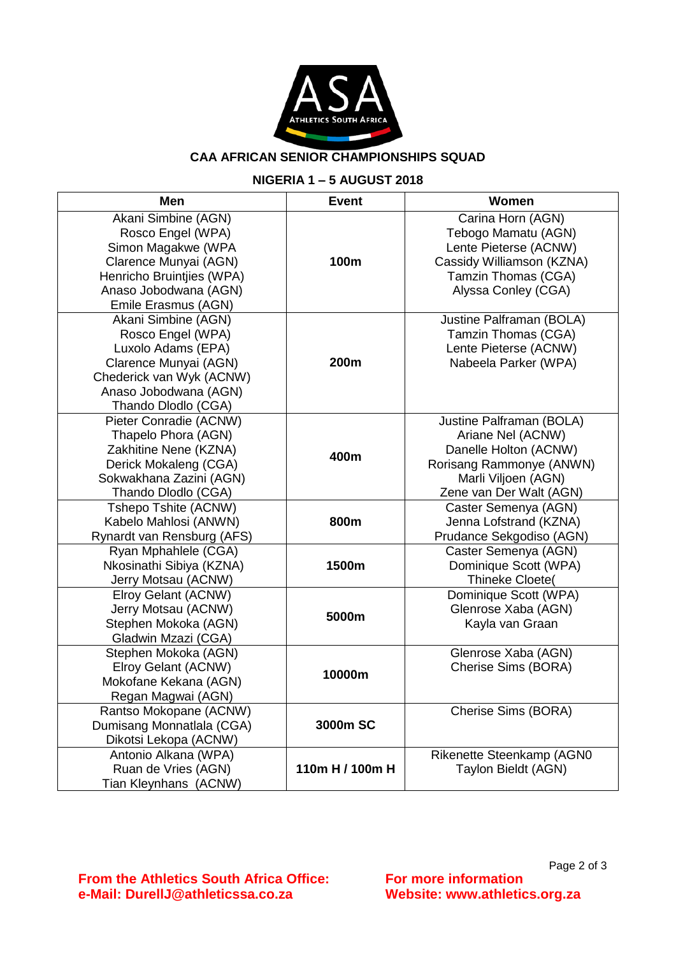

## **CAA AFRICAN SENIOR CHAMPIONSHIPS SQUAD**

### **NIGERIA 1 – 5 AUGUST 2018**

| Men                        | <b>Event</b>    | Women                     |
|----------------------------|-----------------|---------------------------|
| Akani Simbine (AGN)        |                 | Carina Horn (AGN)         |
| Rosco Engel (WPA)          |                 | Tebogo Mamatu (AGN)       |
| Simon Magakwe (WPA         |                 | Lente Pieterse (ACNW)     |
| Clarence Munyai (AGN)      | 100m            | Cassidy Williamson (KZNA) |
| Henricho Bruintjies (WPA)  |                 | Tamzin Thomas (CGA)       |
| Anaso Jobodwana (AGN)      |                 | Alyssa Conley (CGA)       |
| Emile Erasmus (AGN)        |                 |                           |
| Akani Simbine (AGN)        |                 | Justine Palframan (BOLA)  |
| Rosco Engel (WPA)          |                 | Tamzin Thomas (CGA)       |
| Luxolo Adams (EPA)         |                 | Lente Pieterse (ACNW)     |
| Clarence Munyai (AGN)      | 200m            | Nabeela Parker (WPA)      |
| Chederick van Wyk (ACNW)   |                 |                           |
| Anaso Jobodwana (AGN)      |                 |                           |
| Thando Dlodlo (CGA)        |                 |                           |
| Pieter Conradie (ACNW)     |                 | Justine Palframan (BOLA)  |
| Thapelo Phora (AGN)        |                 | Ariane Nel (ACNW)         |
| Zakhitine Nene (KZNA)      | 400m            | Danelle Holton (ACNW)     |
| Derick Mokaleng (CGA)      |                 | Rorisang Rammonye (ANWN)  |
| Sokwakhana Zazini (AGN)    |                 | Marli Viljoen (AGN)       |
| Thando Dlodlo (CGA)        |                 | Zene van Der Walt (AGN)   |
| Tshepo Tshite (ACNW)       |                 | Caster Semenya (AGN)      |
| Kabelo Mahlosi (ANWN)      | 800m            | Jenna Lofstrand (KZNA)    |
| Rynardt van Rensburg (AFS) |                 | Prudance Sekgodiso (AGN)  |
| Ryan Mphahlele (CGA)       | 1500m           | Caster Semenya (AGN)      |
| Nkosinathi Sibiya (KZNA)   |                 | Dominique Scott (WPA)     |
| Jerry Motsau (ACNW)        |                 | Thineke Cloete(           |
| Elroy Gelant (ACNW)        | 5000m           | Dominique Scott (WPA)     |
| Jerry Motsau (ACNW)        |                 | Glenrose Xaba (AGN)       |
| Stephen Mokoka (AGN)       |                 | Kayla van Graan           |
| Gladwin Mzazi (CGA)        |                 |                           |
| Stephen Mokoka (AGN)       | 10000m          | Glenrose Xaba (AGN)       |
| Elroy Gelant (ACNW)        |                 | Cherise Sims (BORA)       |
| Mokofane Kekana (AGN)      |                 |                           |
| Regan Magwai (AGN)         |                 |                           |
| Rantso Mokopane (ACNW)     | 3000m SC        | Cherise Sims (BORA)       |
| Dumisang Monnatlala (CGA)  |                 |                           |
| Dikotsi Lekopa (ACNW)      |                 |                           |
| Antonio Alkana (WPA)       | 110m H / 100m H | Rikenette Steenkamp (AGN0 |
| Ruan de Vries (AGN)        |                 | Taylon Bieldt (AGN)       |
| Tian Kleynhans (ACNW)      |                 |                           |